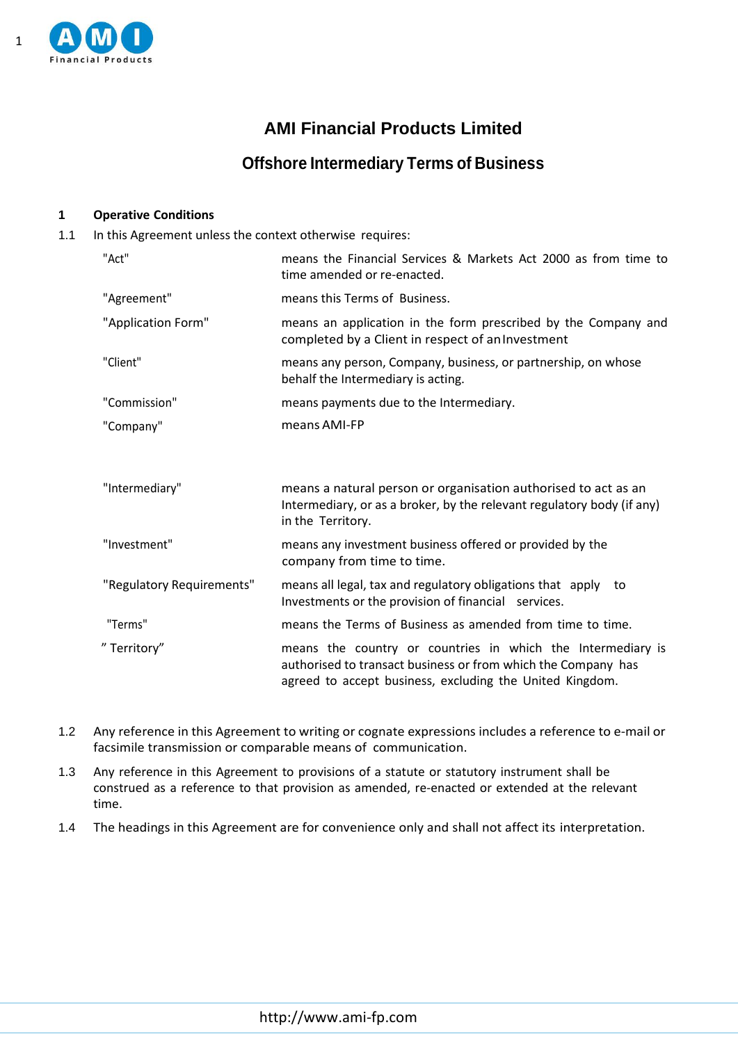

# **AMI Financial Products Limited**

# **Offshore Intermediary Terms of Business**

## **1 Operative Conditions**

1.1 In this Agreement unless the context otherwise requires:

| "Act"                     | means the Financial Services & Markets Act 2000 as from time to<br>time amended or re-enacted.                                                                                           |
|---------------------------|------------------------------------------------------------------------------------------------------------------------------------------------------------------------------------------|
| "Agreement"               | means this Terms of Business.                                                                                                                                                            |
| "Application Form"        | means an application in the form prescribed by the Company and<br>completed by a Client in respect of an Investment                                                                      |
| "Client"                  | means any person, Company, business, or partnership, on whose<br>behalf the Intermediary is acting.                                                                                      |
| "Commission"              | means payments due to the Intermediary.                                                                                                                                                  |
| "Company"                 | means AMI-FP                                                                                                                                                                             |
| "Intermediary"            | means a natural person or organisation authorised to act as an<br>Intermediary, or as a broker, by the relevant regulatory body (if any)<br>in the Territory.                            |
| "Investment"              | means any investment business offered or provided by the<br>company from time to time.                                                                                                   |
| "Regulatory Requirements" | means all legal, tax and regulatory obligations that apply to<br>Investments or the provision of financial services.                                                                     |
| "Terms"                   | means the Terms of Business as amended from time to time.                                                                                                                                |
| "Territory"               | means the country or countries in which the Intermediary is<br>authorised to transact business or from which the Company has<br>agreed to accept business, excluding the United Kingdom. |

- 1.2 Any reference in this Agreement to writing or cognate expressions includes a reference to e-mail or facsimile transmission or comparable means of communication.
- 1.3 Any reference in this Agreement to provisions of a statute or statutory instrument shall be construed as a reference to that provision as amended, re-enacted or extended at the relevant time.
- 1.4 The headings in this Agreement are for convenience only and shall not affect its interpretation.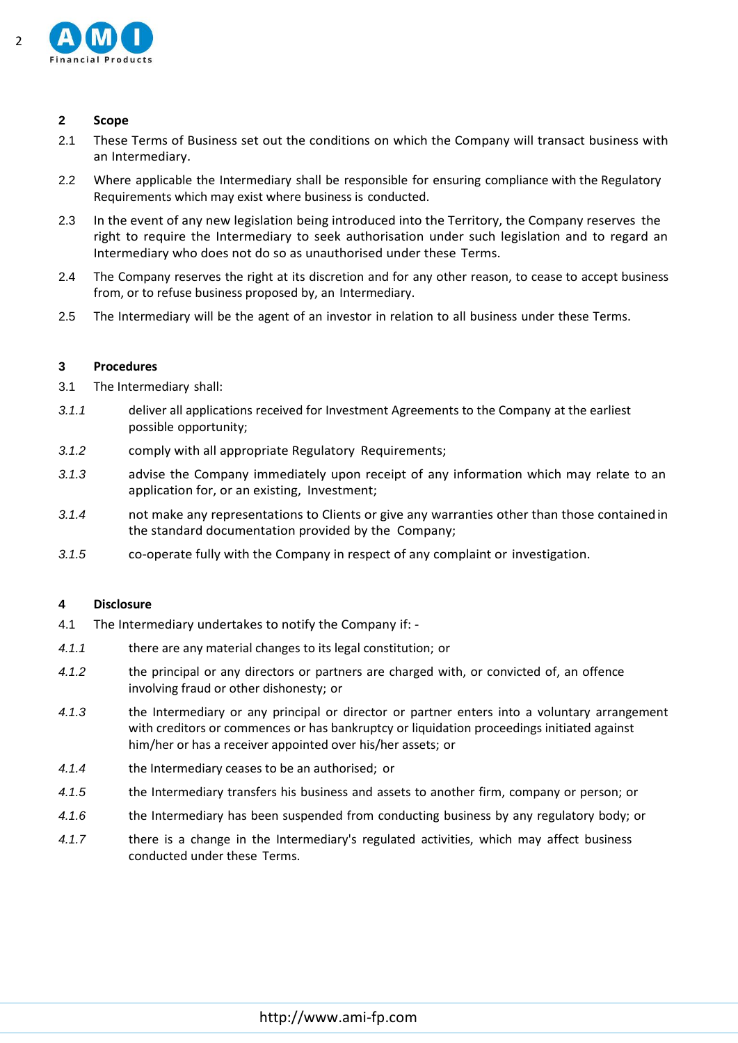

### **2 Scope**

- 2.1 These Terms of Business set out the conditions on which the Company will transact business with an Intermediary.
- 2.2 Where applicable the Intermediary shall be responsible for ensuring compliance with the Regulatory Requirements which may exist where business is conducted.
- 2.3 In the event of any new legislation being introduced into the Territory, the Company reserves the right to require the Intermediary to seek authorisation under such legislation and to regard an Intermediary who does not do so as unauthorised under these Terms.
- 2.4 The Company reserves the right at its discretion and for any other reason, to cease to accept business from, or to refuse business proposed by, an Intermediary.
- 2.5 The Intermediary will be the agent of an investor in relation to all business under these Terms.

### **3 Procedures**

- 3.1 The Intermediary shall:
- *3.1.1* deliver all applications received for Investment Agreements to the Company at the earliest possible opportunity;
- *3.1.2* comply with all appropriate Regulatory Requirements;
- *3.1.3* advise the Company immediately upon receipt of any information which may relate to an application for, or an existing, Investment;
- *3.1.4* not make any representations to Clients or give any warranties other than those containedin the standard documentation provided by the Company;
- *3.1.5* co-operate fully with the Company in respect of any complaint or investigation.

### **4 Disclosure**

- 4.1 The Intermediary undertakes to notify the Company if: -
- *4.1.1* there are any material changes to its legal constitution; or
- *4.1.2* the principal or any directors or partners are charged with, or convicted of, an offence involving fraud or other dishonesty; or
- *4.1.3* the Intermediary or any principal or director or partner enters into a voluntary arrangement with creditors or commences or has bankruptcy or liquidation proceedings initiated against him/her or has a receiver appointed over his/her assets; or
- *4.1.4* the Intermediary ceases to be an authorised; or
- *4.1.5* the Intermediary transfers his business and assets to another firm, company or person; or
- *4.1.6* the Intermediary has been suspended from conducting business by any regulatory body; or
- *4.1.7* there is a change in the Intermediary's regulated activities, which may affect business conducted under these Terms.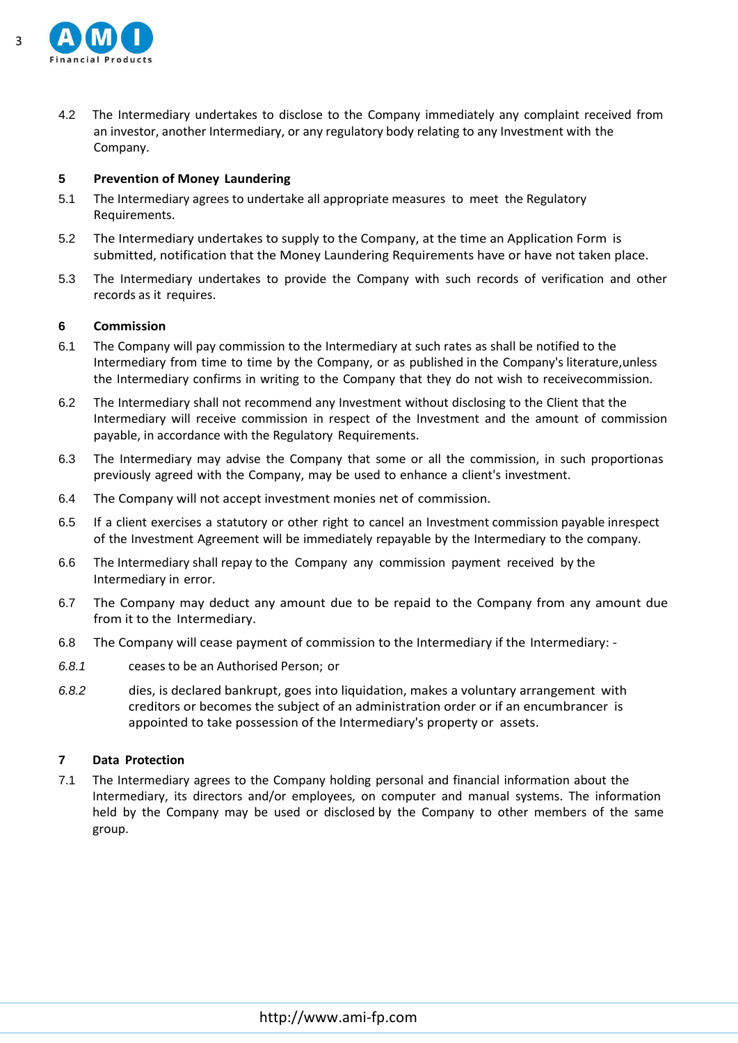

4.2 The Intermediary undertakes to disclose to the Company immediately any complaint received from an investor, another Intermediary, or any regulatory body relating to any Investment with the Company.

## **5 Prevention of Money Laundering**

- 5.1 The Intermediary agrees to undertake all appropriate measures to meet the Regulatory Requirements.
- 5.2 The Intermediary undertakes to supply to the Company, at the time an Application Form is submitted, notification that the Money Laundering Requirements have or have not taken place.
- 5.3 The Intermediary undertakes to provide the Company with such records of verification and other records as it requires.

## **6 Commission**

- 6.1 The Company will pay commission to the Intermediary at such rates as shall be notified to the Intermediary from time to time by the Company, or as published in the Company's literature,unless the Intermediary confirms in writing to the Company that they do not wish to receivecommission.
- 6.2 The Intermediary shall not recommend any Investment without disclosing to the Client that the Intermediary will receive commission in respect of the Investment and the amount of commission payable, in accordance with the Regulatory Requirements.
- 6.3 The Intermediary may advise the Company that some or all the commission, in such proportionas previously agreed with the Company, may be used to enhance a client's investment.
- 6.4 The Company will not accept investment monies net of commission.
- 6.5 If a client exercises a statutory or other right to cancel an Investment commission payable inrespect of the Investment Agreement will be immediately repayable by the Intermediary to the company.
- 6.6 The Intermediary shall repay to the Company any commission payment received by the Intermediary in error.
- 6.7 The Company may deduct any amount due to be repaid to the Company from any amount due from it to the Intermediary.
- 6.8 The Company will cease payment of commission to the Intermediary if the Intermediary: -
- *6.8.1* ceases to be an Authorised Person; or
- *6.8.2* dies, is declared bankrupt, goes into liquidation, makes a voluntary arrangement with creditors or becomes the subject of an administration order or if an encumbrancer is appointed to take possession of the Intermediary's property or assets.

#### **7 Data Protection**

7.1 The Intermediary agrees to the Company holding personal and financial information about the Intermediary, its directors and/or employees, on computer and manual systems. The information held by the Company may be used or disclosed by the Company to other members of the same group.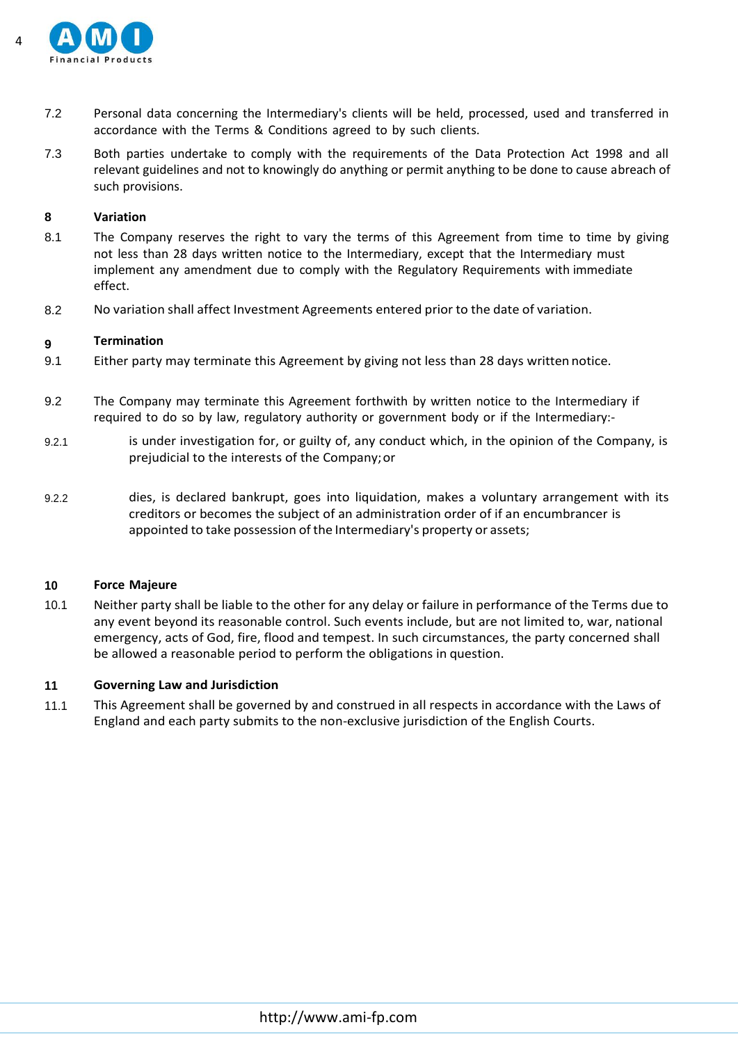

- 7.2 Personal data concerning the Intermediary's clients will be held, processed, used and transferred in accordance with the Terms & Conditions agreed to by such clients.
- 7.3 Both parties undertake to comply with the requirements of the Data Protection Act 1998 and all relevant guidelines and not to knowingly do anything or permit anything to be done to cause abreach of such provisions.

#### **8 Variation**

- 8.1 The Company reserves the right to vary the terms of this Agreement from time to time by giving not less than 28 days written notice to the Intermediary, except that the Intermediary must implement any amendment due to comply with the Regulatory Requirements with immediate effect.
- 8.2 No variation shall affect Investment Agreements entered prior to the date of variation.

#### **9 Termination**

- 9.1 Either party may terminate this Agreement by giving not less than 28 days written notice.
- 9.2 The Company may terminate this Agreement forthwith by written notice to the Intermediary if required to do so by law, regulatory authority or government body or if the Intermediary:-
- 9.2.1 is under investigation for, or guilty of, any conduct which, in the opinion of the Company, is prejudicial to the interests of the Company;or
- 9.2.2 dies, is declared bankrupt, goes into liquidation, makes a voluntary arrangement with its creditors or becomes the subject of an administration order of if an encumbrancer is appointed to take possession of the Intermediary's property or assets;

#### **10 Force Majeure**

10.1 Neither party shall be liable to the other for any delay or failure in performance of the Terms due to any event beyond its reasonable control. Such events include, but are not limited to, war, national emergency, acts of God, fire, flood and tempest. In such circumstances, the party concerned shall be allowed a reasonable period to perform the obligations in question.

#### **11 Governing Law and Jurisdiction**

11.1 This Agreement shall be governed by and construed in all respects in accordance with the Laws of England and each party submits to the non-exclusive jurisdiction of the English Courts.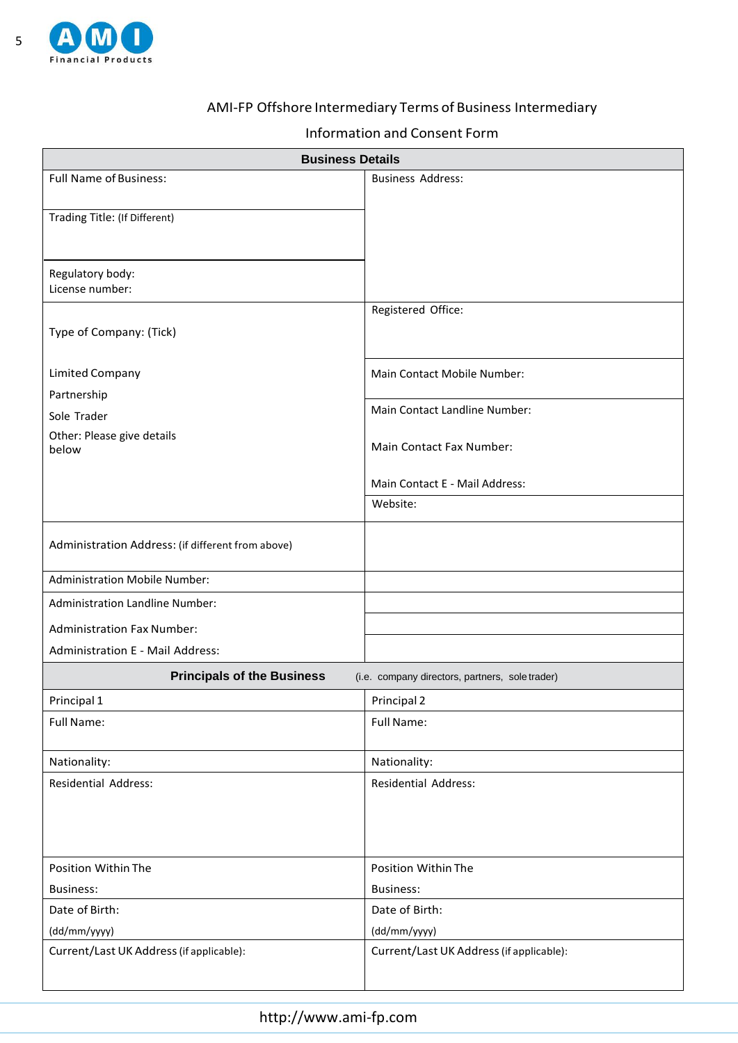

# AMI-FP Offshore Intermediary Terms of Business Intermediary

## Information and Consent Form

| <b>Business Details</b>                           |                                                 |  |  |
|---------------------------------------------------|-------------------------------------------------|--|--|
| <b>Full Name of Business:</b>                     | <b>Business Address:</b>                        |  |  |
|                                                   |                                                 |  |  |
| Trading Title: (If Different)                     |                                                 |  |  |
|                                                   |                                                 |  |  |
| Regulatory body:                                  |                                                 |  |  |
| License number:                                   |                                                 |  |  |
|                                                   | Registered Office:                              |  |  |
| Type of Company: (Tick)                           |                                                 |  |  |
|                                                   |                                                 |  |  |
| <b>Limited Company</b>                            | Main Contact Mobile Number:                     |  |  |
| Partnership                                       |                                                 |  |  |
| Sole Trader                                       | Main Contact Landline Number:                   |  |  |
| Other: Please give details<br>below               | Main Contact Fax Number:                        |  |  |
|                                                   |                                                 |  |  |
|                                                   | Main Contact E - Mail Address:                  |  |  |
|                                                   | Website:                                        |  |  |
|                                                   |                                                 |  |  |
| Administration Address: (if different from above) |                                                 |  |  |
| <b>Administration Mobile Number:</b>              |                                                 |  |  |
| <b>Administration Landline Number:</b>            |                                                 |  |  |
| <b>Administration Fax Number:</b>                 |                                                 |  |  |
| Administration E - Mail Address:                  |                                                 |  |  |
| <b>Principals of the Business</b>                 | (i.e. company directors, partners, sole trader) |  |  |
| Principal 1                                       | Principal 2                                     |  |  |
| Full Name:                                        | Full Name:                                      |  |  |
|                                                   |                                                 |  |  |
| Nationality:                                      | Nationality:                                    |  |  |
| <b>Residential Address:</b>                       | <b>Residential Address:</b>                     |  |  |
|                                                   |                                                 |  |  |
|                                                   |                                                 |  |  |
|                                                   |                                                 |  |  |
| Position Within The                               | Position Within The                             |  |  |
| <b>Business:</b>                                  | <b>Business:</b>                                |  |  |
| Date of Birth:                                    | Date of Birth:                                  |  |  |
| (dd/mm/yyyy)                                      | (dd/mm/yyyy)                                    |  |  |
| Current/Last UK Address (if applicable):          | Current/Last UK Address (if applicable):        |  |  |
|                                                   |                                                 |  |  |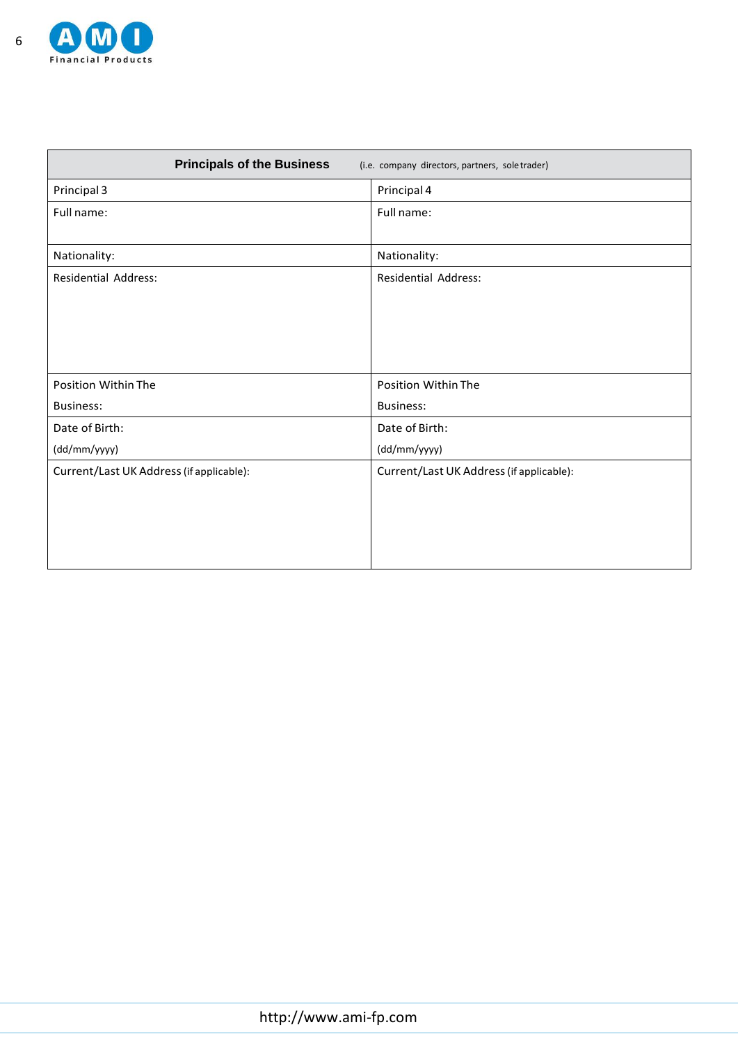

| <b>Principals of the Business</b>        | (i.e. company directors, partners, soletrader) |
|------------------------------------------|------------------------------------------------|
| Principal 3                              | Principal 4                                    |
| Full name:                               | Full name:                                     |
| Nationality:                             | Nationality:                                   |
| <b>Residential Address:</b>              | <b>Residential Address:</b>                    |
|                                          |                                                |
|                                          |                                                |
|                                          |                                                |
| Position Within The                      | Position Within The                            |
| <b>Business:</b>                         | <b>Business:</b>                               |
| Date of Birth:                           | Date of Birth:                                 |
| (dd/mm/yyyy)                             | (dd/mm/yyyy)                                   |
| Current/Last UK Address (if applicable): | Current/Last UK Address (if applicable):       |
|                                          |                                                |
|                                          |                                                |
|                                          |                                                |
|                                          |                                                |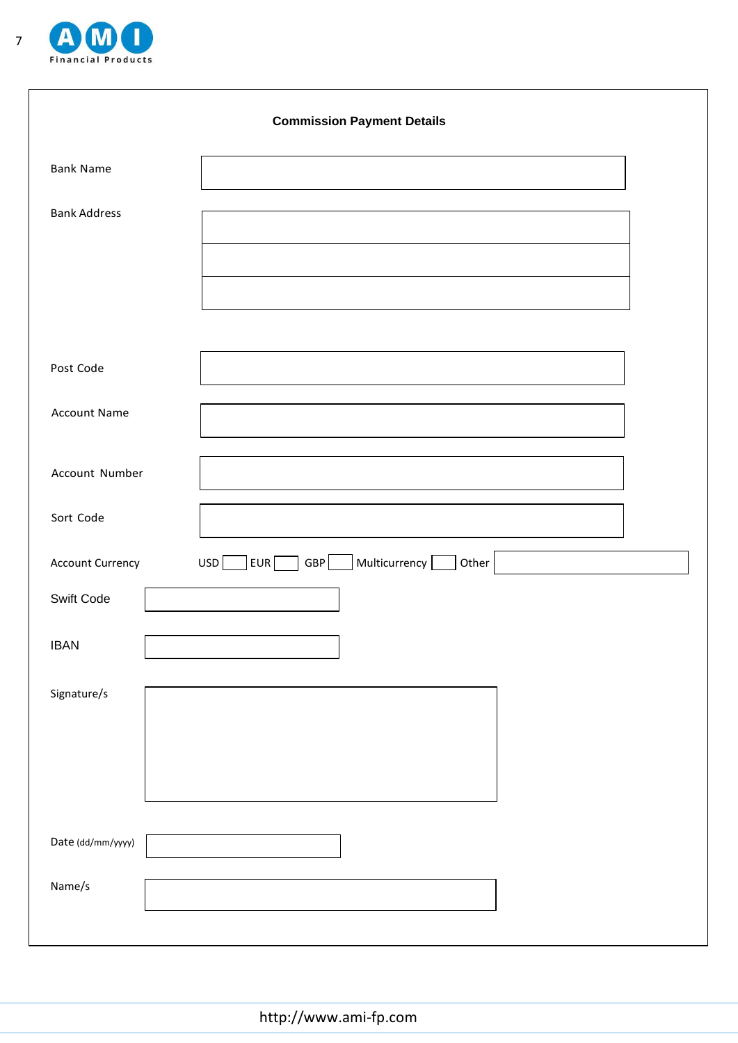

|                     | <b>Commission Payment Details</b>                          |
|---------------------|------------------------------------------------------------|
| <b>Bank Name</b>    |                                                            |
| <b>Bank Address</b> |                                                            |
| Post Code           |                                                            |
| <b>Account Name</b> |                                                            |
| Account Number      |                                                            |
| Sort Code           |                                                            |
| Account Currency    | Multicurrency [<br>EUR <sub>[</sub><br>GBP<br>USD<br>Other |
| Swift Code          |                                                            |
| <b>IBAN</b>         |                                                            |
| Signature/s         |                                                            |
|                     |                                                            |
| Date (dd/mm/yyyy)   |                                                            |
| Name/s              |                                                            |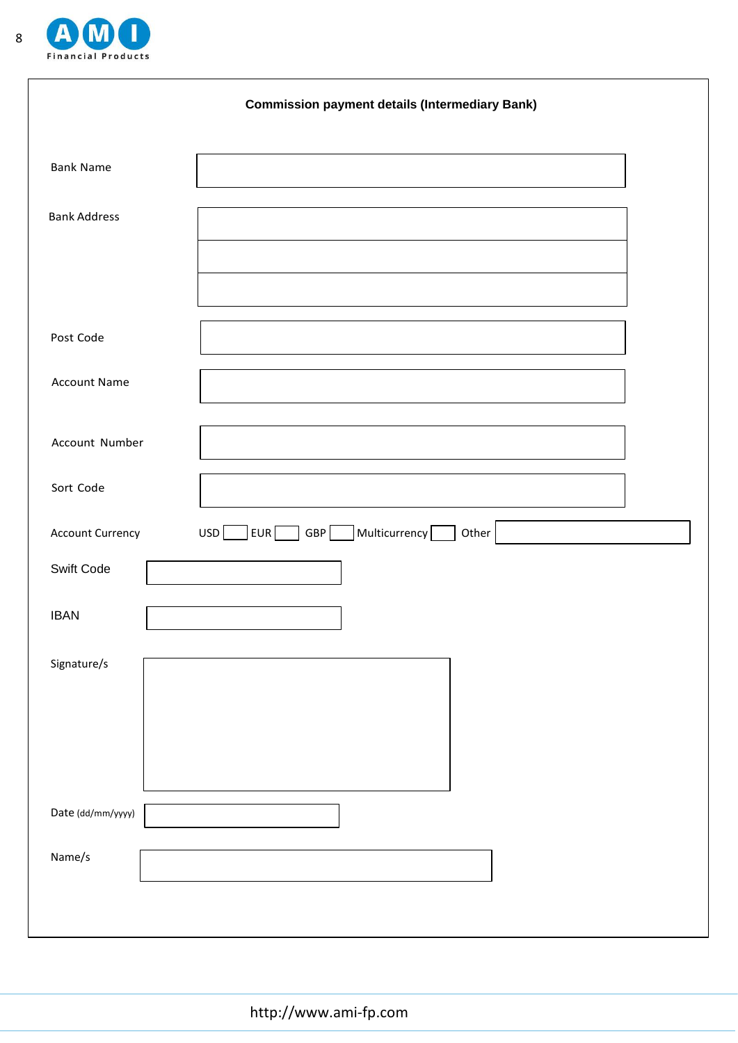

|                         | <b>Commission payment details (Intermediary Bank)</b>            |
|-------------------------|------------------------------------------------------------------|
| <b>Bank Name</b>        |                                                                  |
| <b>Bank Address</b>     |                                                                  |
|                         |                                                                  |
| Post Code               |                                                                  |
|                         |                                                                  |
| <b>Account Name</b>     |                                                                  |
| Account Number          |                                                                  |
| Sort Code               |                                                                  |
| <b>Account Currency</b> | $\sqrt{\sqrt{2\pi}}$ Multicurrency<br>USD<br>EUR<br>GBP<br>Other |
| Swift Code              |                                                                  |
| <b>IBAN</b>             |                                                                  |
| Signature/s             |                                                                  |
|                         |                                                                  |
|                         |                                                                  |
|                         |                                                                  |
| Date (dd/mm/yyyy)       |                                                                  |
| Name/s                  |                                                                  |
|                         |                                                                  |

http://www.ami-fp.com